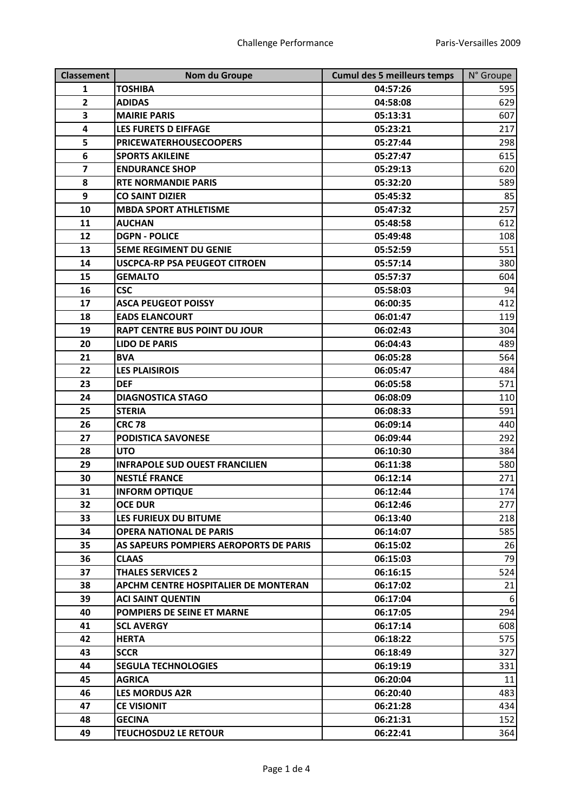| <b>Classement</b>       | Nom du Groupe                          | <b>Cumul des 5 meilleurs temps</b> | N° Groupe |
|-------------------------|----------------------------------------|------------------------------------|-----------|
| $\mathbf{1}$            | <b>TOSHIBA</b>                         | 04:57:26                           | 595       |
| $\overline{2}$          | <b>ADIDAS</b>                          | 04:58:08                           | 629       |
| 3                       | <b>MAIRIE PARIS</b>                    | 05:13:31                           | 607       |
| 4                       | <b>LES FURETS D EIFFAGE</b>            | 05:23:21                           | 217       |
| 5                       | <b>PRICEWATERHOUSECOOPERS</b>          | 05:27:44                           | 298       |
| $6\phantom{1}6$         | <b>SPORTS AKILEINE</b>                 | 05:27:47                           | 615       |
| $\overline{\mathbf{z}}$ | <b>ENDURANCE SHOP</b>                  | 05:29:13                           | 620       |
| 8                       | <b>RTE NORMANDIE PARIS</b>             | 05:32:20                           | 589       |
| 9                       | <b>CO SAINT DIZIER</b>                 | 05:45:32                           | 85        |
| 10                      | <b>MBDA SPORT ATHLETISME</b>           | 05:47:32                           | 257       |
| 11                      | <b>AUCHAN</b>                          | 05:48:58                           | 612       |
| 12                      | <b>DGPN - POLICE</b>                   | 05:49:48                           | 108       |
| 13                      | <b>5EME REGIMENT DU GENIE</b>          | 05:52:59                           | 551       |
| 14                      | <b>USCPCA-RP PSA PEUGEOT CITROEN</b>   | 05:57:14                           | 380       |
| 15                      | <b>GEMALTO</b>                         | 05:57:37                           | 604       |
| 16                      | <b>CSC</b>                             | 05:58:03                           | 94        |
| 17                      | <b>ASCA PEUGEOT POISSY</b>             | 06:00:35                           | 412       |
| 18                      | <b>EADS ELANCOURT</b>                  | 06:01:47                           | 119       |
| 19                      | <b>RAPT CENTRE BUS POINT DU JOUR</b>   | 06:02:43                           | 304       |
| 20                      | <b>LIDO DE PARIS</b>                   | 06:04:43                           | 489       |
| 21                      | <b>BVA</b>                             | 06:05:28                           | 564       |
| 22                      | <b>LES PLAISIROIS</b>                  | 06:05:47                           | 484       |
| 23                      | <b>DEF</b>                             | 06:05:58                           | 571       |
| 24                      | <b>DIAGNOSTICA STAGO</b>               | 06:08:09                           | 110       |
| 25                      | <b>STERIA</b>                          | 06:08:33                           | 591       |
| 26                      | <b>CRC 78</b>                          | 06:09:14                           | 440       |
| 27                      | <b>PODISTICA SAVONESE</b>              | 06:09:44                           | 292       |
| 28                      | <b>UTO</b>                             | 06:10:30                           | 384       |
| 29                      | <b>INFRAPOLE SUD OUEST FRANCILIEN</b>  | 06:11:38                           | 580       |
| 30                      | <b>NESTLÉ FRANCE</b>                   | 06:12:14                           | 271       |
| 31                      | <b>INFORM OPTIQUE</b>                  | 06:12:44                           | 174       |
| 32                      | <b>OCE DUR</b>                         | 06:12:46                           | 277       |
| 33                      | LES FURIEUX DU BITUME                  | 06:13:40                           | 218       |
| 34                      | <b>OPERA NATIONAL DE PARIS</b>         | 06:14:07                           | 585       |
| 35                      | AS SAPEURS POMPIERS AEROPORTS DE PARIS | 06:15:02                           | 26        |
| 36                      | <b>CLAAS</b>                           | 06:15:03                           | 79        |
| 37                      | <b>THALES SERVICES 2</b>               | 06:16:15                           | 524       |
| 38                      | APCHM CENTRE HOSPITALIER DE MONTERAN   | 06:17:02                           | 21        |
| 39                      | <b>ACI SAINT QUENTIN</b>               | 06:17:04                           | 6         |
| 40                      | POMPIERS DE SEINE ET MARNE             | 06:17:05                           | 294       |
| 41                      | <b>SCL AVERGY</b>                      | 06:17:14                           | 608       |
| 42                      | <b>HERTA</b>                           | 06:18:22                           | 575       |
| 43                      | <b>SCCR</b>                            | 06:18:49                           | 327       |
| 44                      | <b>SEGULA TECHNOLOGIES</b>             | 06:19:19                           | 331       |
| 45                      | <b>AGRICA</b>                          | 06:20:04                           | 11        |
| 46                      | <b>LES MORDUS A2R</b>                  | 06:20:40                           | 483       |
| 47                      | <b>CE VISIONIT</b>                     | 06:21:28                           | 434       |
| 48                      | <b>GECINA</b>                          | 06:21:31                           | 152       |
| 49                      | <b>TEUCHOSDU2 LE RETOUR</b>            | 06:22:41                           | 364       |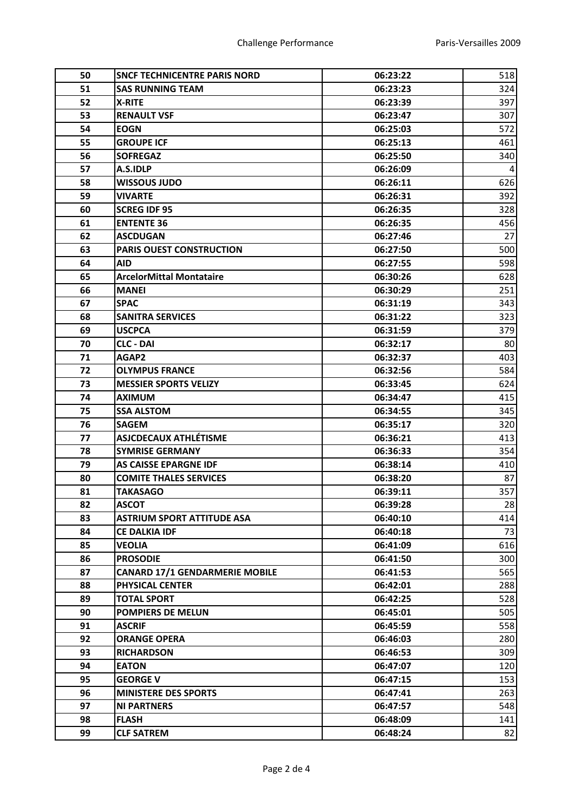| 50 | <b>SNCF TECHNICENTRE PARIS NORD</b>   | 06:23:22 | 518 |
|----|---------------------------------------|----------|-----|
| 51 | <b>SAS RUNNING TEAM</b>               | 06:23:23 | 324 |
| 52 | <b>X-RITE</b>                         | 06:23:39 | 397 |
| 53 | <b>RENAULT VSF</b>                    | 06:23:47 | 307 |
| 54 | <b>EOGN</b>                           | 06:25:03 | 572 |
| 55 | <b>GROUPE ICF</b>                     | 06:25:13 | 461 |
| 56 | <b>SOFREGAZ</b>                       | 06:25:50 | 340 |
| 57 | A.S.IDLP                              | 06:26:09 | 4   |
| 58 | <b>WISSOUS JUDO</b>                   | 06:26:11 | 626 |
| 59 | <b>VIVARTE</b>                        | 06:26:31 | 392 |
| 60 | <b>SCREG IDF 95</b>                   | 06:26:35 | 328 |
| 61 | <b>ENTENTE 36</b>                     | 06:26:35 | 456 |
| 62 | <b>ASCDUGAN</b>                       | 06:27:46 | 27  |
| 63 | <b>PARIS OUEST CONSTRUCTION</b>       | 06:27:50 | 500 |
| 64 | <b>AID</b>                            | 06:27:55 | 598 |
| 65 | <b>ArcelorMittal Montataire</b>       | 06:30:26 | 628 |
| 66 | <b>MANEI</b>                          | 06:30:29 | 251 |
| 67 | <b>SPAC</b>                           | 06:31:19 | 343 |
| 68 | <b>SANITRA SERVICES</b>               | 06:31:22 | 323 |
| 69 | <b>USCPCA</b>                         | 06:31:59 | 379 |
| 70 | <b>CLC - DAI</b>                      | 06:32:17 | 80  |
| 71 | AGAP2                                 | 06:32:37 | 403 |
| 72 | <b>OLYMPUS FRANCE</b>                 | 06:32:56 | 584 |
| 73 | <b>MESSIER SPORTS VELIZY</b>          | 06:33:45 | 624 |
| 74 | <b>AXIMUM</b>                         | 06:34:47 | 415 |
| 75 | <b>SSA ALSTOM</b>                     | 06:34:55 | 345 |
| 76 | <b>SAGEM</b>                          | 06:35:17 | 320 |
| 77 | <b>ASJCDECAUX ATHLÉTISME</b>          | 06:36:21 | 413 |
| 78 | <b>SYMRISE GERMANY</b>                | 06:36:33 | 354 |
| 79 | <b>AS CAISSE EPARGNE IDF</b>          | 06:38:14 | 410 |
| 80 | <b>COMITE THALES SERVICES</b>         | 06:38:20 | 87  |
| 81 | <b>TAKASAGO</b>                       | 06:39:11 | 357 |
| 82 | <b>ASCOT</b>                          | 06:39:28 | 28  |
| 83 | <b>ASTRIUM SPORT ATTITUDE ASA</b>     | 06:40:10 | 414 |
| 84 | <b>CE DALKIA IDF</b>                  | 06:40:18 | 73  |
| 85 | <b>VEOLIA</b>                         | 06:41:09 | 616 |
| 86 | <b>PROSODIE</b>                       | 06:41:50 | 300 |
| 87 | <b>CANARD 17/1 GENDARMERIE MOBILE</b> | 06:41:53 | 565 |
| 88 | <b>PHYSICAL CENTER</b>                | 06:42:01 | 288 |
| 89 | <b>TOTAL SPORT</b>                    | 06:42:25 | 528 |
| 90 | <b>POMPIERS DE MELUN</b>              | 06:45:01 | 505 |
| 91 | <b>ASCRIF</b>                         | 06:45:59 | 558 |
| 92 | <b>ORANGE OPERA</b>                   | 06:46:03 | 280 |
| 93 | <b>RICHARDSON</b>                     | 06:46:53 | 309 |
| 94 | <b>EATON</b>                          | 06:47:07 | 120 |
| 95 | <b>GEORGE V</b>                       | 06:47:15 | 153 |
| 96 | <b>MINISTERE DES SPORTS</b>           | 06:47:41 | 263 |
| 97 | <b>NI PARTNERS</b>                    | 06:47:57 | 548 |
| 98 | <b>FLASH</b>                          | 06:48:09 | 141 |
| 99 | <b>CLF SATREM</b>                     | 06:48:24 | 82  |
|    |                                       |          |     |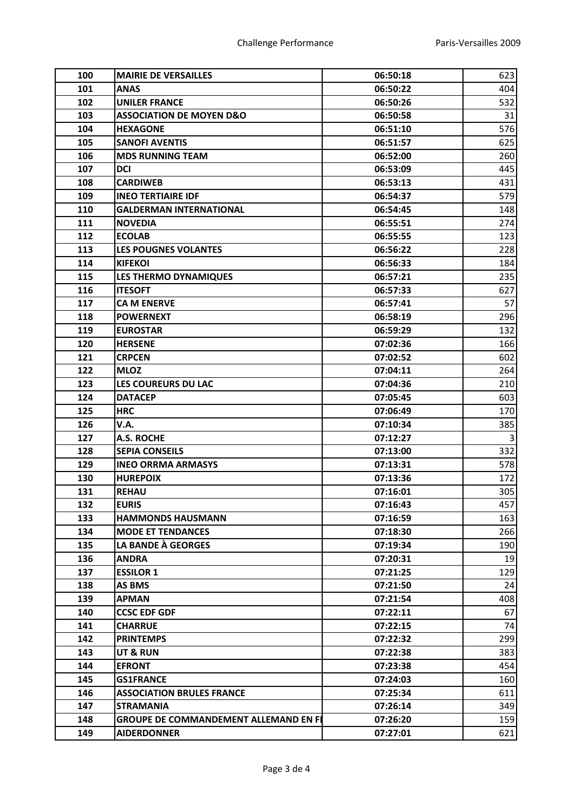| 100 | <b>MAIRIE DE VERSAILLES</b>                  | 06:50:18 | 623 |
|-----|----------------------------------------------|----------|-----|
| 101 | <b>ANAS</b>                                  | 06:50:22 | 404 |
| 102 | <b>UNILER FRANCE</b>                         | 06:50:26 | 532 |
| 103 | <b>ASSOCIATION DE MOYEN D&amp;O</b>          | 06:50:58 | 31  |
| 104 | <b>HEXAGONE</b>                              | 06:51:10 | 576 |
| 105 | <b>SANOFI AVENTIS</b>                        | 06:51:57 | 625 |
| 106 | <b>MDS RUNNING TEAM</b>                      | 06:52:00 | 260 |
| 107 | <b>DCI</b>                                   | 06:53:09 | 445 |
| 108 | <b>CARDIWEB</b>                              | 06:53:13 | 431 |
| 109 | <b>INEO TERTIAIRE IDF</b>                    | 06:54:37 | 579 |
| 110 | <b>GALDERMAN INTERNATIONAL</b>               | 06:54:45 | 148 |
| 111 | <b>NOVEDIA</b>                               | 06:55:51 | 274 |
| 112 | <b>ECOLAB</b>                                | 06:55:55 | 123 |
| 113 | <b>LES POUGNES VOLANTES</b>                  | 06:56:22 | 228 |
| 114 | <b>KIFEKOI</b>                               | 06:56:33 | 184 |
| 115 | <b>LES THERMO DYNAMIQUES</b>                 | 06:57:21 | 235 |
| 116 | <b>ITESOFT</b>                               | 06:57:33 | 627 |
| 117 | <b>CA M ENERVE</b>                           | 06:57:41 | 57  |
| 118 | <b>POWERNEXT</b>                             | 06:58:19 | 296 |
| 119 | <b>EUROSTAR</b>                              | 06:59:29 | 132 |
| 120 | <b>HERSENE</b>                               | 07:02:36 | 166 |
| 121 | <b>CRPCEN</b>                                | 07:02:52 | 602 |
| 122 | <b>MLOZ</b>                                  | 07:04:11 | 264 |
| 123 | LES COUREURS DU LAC                          | 07:04:36 | 210 |
| 124 | <b>DATACEP</b>                               | 07:05:45 | 603 |
| 125 | <b>HRC</b>                                   | 07:06:49 | 170 |
| 126 | V.A.                                         | 07:10:34 | 385 |
| 127 | <b>A.S. ROCHE</b>                            | 07:12:27 | 3   |
| 128 | <b>SEPIA CONSEILS</b>                        | 07:13:00 | 332 |
| 129 | <b>INEO ORRMA ARMASYS</b>                    | 07:13:31 | 578 |
| 130 | <b>HUREPOIX</b>                              | 07:13:36 | 172 |
| 131 | <b>REHAU</b>                                 | 07:16:01 | 305 |
| 132 | <b>EURIS</b>                                 | 07:16:43 | 457 |
| 133 | <b>HAMMONDS HAUSMANN</b>                     | 07:16:59 | 163 |
| 134 | <b>MODE ET TENDANCES</b>                     | 07:18:30 | 266 |
| 135 | LA BANDE À GEORGES                           | 07:19:34 | 190 |
| 136 | <b>ANDRA</b>                                 | 07:20:31 | 19  |
| 137 | <b>ESSILOR 1</b>                             | 07:21:25 | 129 |
| 138 | <b>AS BMS</b>                                | 07:21:50 | 24  |
| 139 | <b>APMAN</b>                                 | 07:21:54 | 408 |
| 140 | <b>CCSC EDF GDF</b>                          | 07:22:11 | 67  |
| 141 | <b>CHARRUE</b>                               | 07:22:15 | 74  |
| 142 | <b>PRINTEMPS</b>                             | 07:22:32 | 299 |
| 143 | <b>UT &amp; RUN</b>                          | 07:22:38 | 383 |
| 144 | <b>EFRONT</b>                                | 07:23:38 | 454 |
| 145 | <b>GS1FRANCE</b>                             | 07:24:03 | 160 |
| 146 | <b>ASSOCIATION BRULES FRANCE</b>             | 07:25:34 | 611 |
| 147 | <b>STRAMANIA</b>                             | 07:26:14 | 349 |
| 148 | <b>GROUPE DE COMMANDEMENT ALLEMAND EN FI</b> | 07:26:20 | 159 |
| 149 | <b>AIDERDONNER</b>                           | 07:27:01 | 621 |
|     |                                              |          |     |